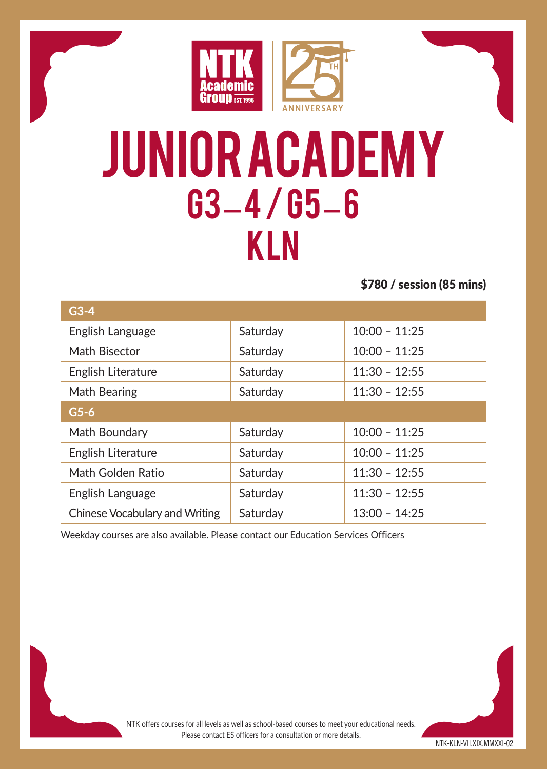

## Junior academy G3 – 4 / G5 – 6 KLN

\$780 / session (85 mins)

| $G3-4$                         |          |                 |  |
|--------------------------------|----------|-----------------|--|
| English Language               | Saturday | $10:00 - 11:25$ |  |
| Math Bisector                  | Saturday | $10:00 - 11:25$ |  |
| English Literature             | Saturdav | $11:30 - 12:55$ |  |
| Math Bearing                   | Saturday | $11:30 - 12:55$ |  |
| $G5-6$                         |          |                 |  |
| Math Boundary                  | Saturday | $10:00 - 11:25$ |  |
| English Literature             | Saturday | $10:00 - 11:25$ |  |
| Math Golden Ratio              | Saturday | $11:30 - 12:55$ |  |
| English Language               | Saturday | $11:30 - 12:55$ |  |
| Chinese Vocabulary and Writing | Saturdav | $13:00 - 14:25$ |  |

Weekday courses are also available. Please contact our Education Services Officers

NTK-KLN-VII.XIX.MMXXI-02